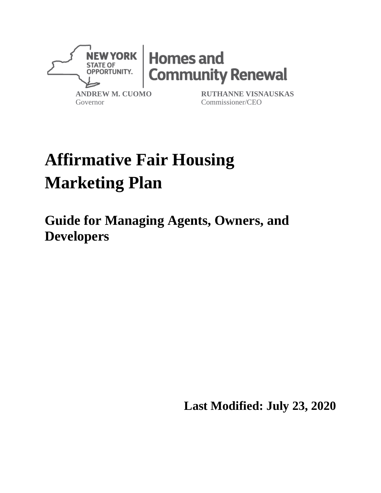

# **Affirmative Fair Housing Marketing Plan**

**Guide for Managing Agents, Owners, and Developers**

**Last Modified: July 23, 2020**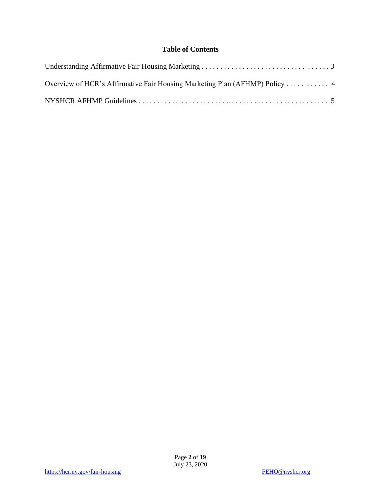#### **Table of Contents**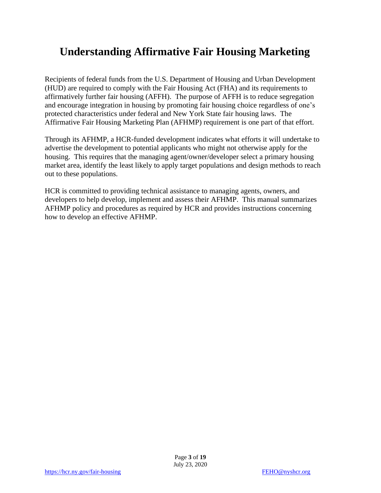## **Understanding Affirmative Fair Housing Marketing**

Recipients of federal funds from the U.S. Department of Housing and Urban Development (HUD) are required to comply with the Fair Housing Act (FHA) and its requirements to affirmatively further fair housing (AFFH). The purpose of AFFH is to reduce segregation and encourage integration in housing by promoting fair housing choice regardless of one's protected characteristics under federal and New York State fair housing laws. The Affirmative Fair Housing Marketing Plan (AFHMP) requirement is one part of that effort.

Through its AFHMP, a HCR-funded development indicates what efforts it will undertake to advertise the development to potential applicants who might not otherwise apply for the housing. This requires that the managing agent/owner/developer select a primary housing market area, identify the least likely to apply target populations and design methods to reach out to these populations.

HCR is committed to providing technical assistance to managing agents, owners, and developers to help develop, implement and assess their AFHMP. This manual summarizes AFHMP policy and procedures as required by HCR and provides instructions concerning how to develop an effective AFHMP.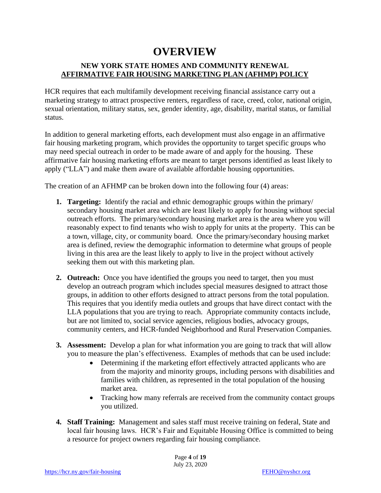### **OVERVIEW**

#### **NEW YORK STATE HOMES AND COMMUNITY RENEWAL AFFIRMATIVE FAIR HOUSING MARKETING PLAN (AFHMP) POLICY**

HCR requires that each multifamily development receiving financial assistance carry out a marketing strategy to attract prospective renters, regardless of race, creed, color, national origin, sexual orientation, military status, sex, gender identity, age, disability, marital status, or familial status.

In addition to general marketing efforts, each development must also engage in an affirmative fair housing marketing program, which provides the opportunity to target specific groups who may need special outreach in order to be made aware of and apply for the housing. These affirmative fair housing marketing efforts are meant to target persons identified as least likely to apply ("LLA") and make them aware of available affordable housing opportunities.

The creation of an AFHMP can be broken down into the following four (4) areas:

- **1. Targeting:** Identify the racial and ethnic demographic groups within the primary/ secondary housing market area which are least likely to apply for housing without special outreach efforts. The primary/secondary housing market area is the area where you will reasonably expect to find tenants who wish to apply for units at the property. This can be a town, village, city, or community board. Once the primary/secondary housing market area is defined, review the demographic information to determine what groups of people living in this area are the least likely to apply to live in the project without actively seeking them out with this marketing plan.
- **2. Outreach:** Once you have identified the groups you need to target, then you must develop an outreach program which includes special measures designed to attract those groups, in addition to other efforts designed to attract persons from the total population. This requires that you identify media outlets and groups that have direct contact with the LLA populations that you are trying to reach. Appropriate community contacts include, but are not limited to, social service agencies, religious bodies, advocacy groups, community centers, and HCR-funded Neighborhood and Rural Preservation Companies.
- **3. Assessment:** Develop a plan for what information you are going to track that will allow you to measure the plan's effectiveness. Examples of methods that can be used include:
	- Determining if the marketing effort effectively attracted applicants who are from the majority and minority groups, including persons with disabilities and families with children, as represented in the total population of the housing market area.
	- Tracking how many referrals are received from the community contact groups you utilized.
- **4. Staff Training:** Management and sales staff must receive training on federal, State and local fair housing laws. HCR's Fair and Equitable Housing Office is committed to being a resource for project owners regarding fair housing compliance.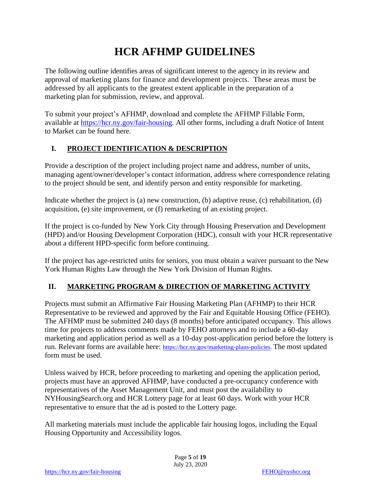## **HCR AFHMP GUIDELINES**

The following outline identifies areas of significant interest to the agency in its review and approval of marketing plans for finance and development projects. These areas must be addressed by all applicants to the greatest extent applicable in the preparation of a marketing plan for submission, review, and approval.

To submit your project's AFHMP, download and complete the AFHMP Fillable Form, available at [https://hcr.ny.gov/fair-housing.](https://hcr.ny.gov/fair-housing) All other forms, including a draft Notice of Intent to Market can be found here.

#### **I. PROJECT IDENTIFICATION & DESCRIPTION**

Provide a description of the project including project name and address, number of units, managing agent/owner/developer's contact information, address where correspondence relating to the project should be sent, and identify person and entity responsible for marketing.

Indicate whether the project is (a) new construction, (b) adaptive reuse, (c) rehabilitation, (d) acquisition, (e) site improvement, or (f) remarketing of an existing project.

If the project is co-funded by New York City through Housing Preservation and Development (HPD) and/or Housing Development Corporation (HDC), consult with your HCR representative about a different HPD-specific form before continuing.

If the project has age-restricted units for seniors, you must obtain a waiver pursuant to the New York Human Rights Law through the New York Division of Human Rights.

#### **II. MARKETING PROGRAM & DIRECTION OF MARKETING ACTIVITY**

Projects must submit an Affirmative Fair Housing Marketing Plan (AFHMP) to their HCR Representative to be reviewed and approved by the Fair and Equitable Housing Office (FEHO). The AFHMP must be submitted 240 days (8 months) before anticipated occupancy. This allows time for projects to address comments made by FEHO attorneys and to include a 60-day marketing and application period as well as a 10-day post-application period before the lottery is run. Relevant forms are available here: [https://hcr.ny.gov/marketing-plans-policies.](https://hcr.ny.gov/marketing-plans-policies) The most updated form must be used.

Unless waived by HCR, before proceeding to marketing and opening the application period, projects must have an approved AFHMP, have conducted a pre-occupancy conference with representatives of the Asset Management Unit, and must post the availability to NYHousingSearch.org and HCR Lottery page for at least 60 days. Work with your HCR representative to ensure that the ad is posted to the Lottery page.

All marketing materials must include the applicable fair housing logos, including the Equal Housing Opportunity and Accessibility logos.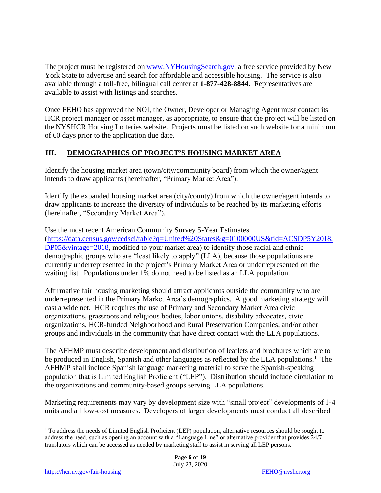The project must be registered on [www.NYHousingSearch.gov,](http://www.nyhousingsearch.gov/) a free service provided by New York State to advertise and search for affordable and accessible housing. The service is also available through a toll-free, bilingual call center at **1-877-428-8844.** Representatives are available to assist with listings and searches.

Once FEHO has approved the NOI, the Owner, Developer or Managing Agent must contact its HCR project manager or asset manager, as appropriate, to ensure that the project will be listed on the NYSHCR Housing Lotteries website. Projects must be listed on such website for a minimum of 60 days prior to the application due date.

#### **III. DEMOGRAPHICS OF PROJECT'S HOUSING MARKET AREA**

Identify the housing market area (town/city/community board) from which the owner/agent intends to draw applicants (hereinafter, "Primary Market Area").

Identify the expanded housing market area (city/county) from which the owner/agent intends to draw applicants to increase the diversity of individuals to be reached by its marketing efforts (hereinafter, "Secondary Market Area").

Use the most recent American Community Survey 5-Year Estimates [\(https://data.census.gov/cedsci/table?q=United%20States&g=0100000US&tid=ACSDP5Y2018.](https://data.census.gov/cedsci/table?q=United%20States&g=0100000US&tid=ACSDP5Y2018.DP05&vintage=2018) [DP05&vintage=2018,](https://data.census.gov/cedsci/table?q=United%20States&g=0100000US&tid=ACSDP5Y2018.DP05&vintage=2018) modified to your market area) to identify those racial and ethnic demographic groups who are "least likely to apply" (LLA), because those populations are currently underrepresented in the project's Primary Market Area or underrepresented on the waiting list. Populations under 1% do not need to be listed as an LLA population.

Affirmative fair housing marketing should attract applicants outside the community who are underrepresented in the Primary Market Area's demographics. A good marketing strategy will cast a wide net. HCR requires the use of Primary and Secondary Market Area civic organizations, grassroots and religious bodies, labor unions, disability advocates, civic organizations, HCR-funded Neighborhood and Rural Preservation Companies, and/or other groups and individuals in the community that have direct contact with the LLA populations.

The AFHMP must describe development and distribution of leaflets and brochures which are to be produced in English, Spanish and other languages as reflected by the LLA populations.<sup>1</sup> The AFHMP shall include Spanish language marketing material to serve the Spanish-speaking population that is Limited English Proficient ("LEP"). Distribution should include circulation to the organizations and community-based groups serving LLA populations.

Marketing requirements may vary by development size with "small project" developments of 1-4 units and all low-cost measures. Developers of larger developments must conduct all described

<sup>&</sup>lt;sup>1</sup> To address the needs of Limited English Proficient (LEP) population, alternative resources should be sought to address the need, such as opening an account with a "Language Line" or alternative provider that provides 24/7 translators which can be accessed as needed by marketing staff to assist in serving all LEP persons.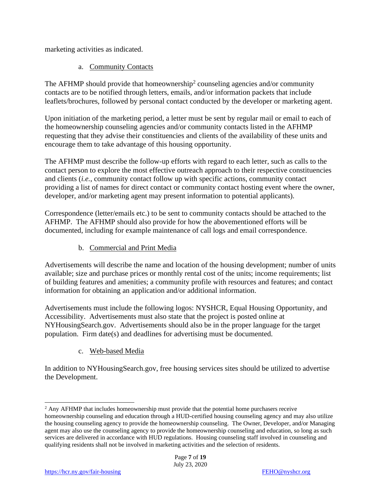marketing activities as indicated.

#### a. Community Contacts

The AFHMP should provide that homeownership<sup>2</sup> counseling agencies and/or community contacts are to be notified through letters, emails, and/or information packets that include leaflets/brochures, followed by personal contact conducted by the developer or marketing agent.

Upon initiation of the marketing period, a letter must be sent by regular mail or email to each of the homeownership counseling agencies and/or community contacts listed in the AFHMP requesting that they advise their constituencies and clients of the availability of these units and encourage them to take advantage of this housing opportunity.

The AFHMP must describe the follow-up efforts with regard to each letter, such as calls to the contact person to explore the most effective outreach approach to their respective constituencies and clients (*i.e.*, community contact follow up with specific actions, community contact providing a list of names for direct contact or community contact hosting event where the owner, developer, and/or marketing agent may present information to potential applicants).

Correspondence (letter/emails etc.) to be sent to community contacts should be attached to the AFHMP. The AFHMP should also provide for how the abovementioned efforts will be documented, including for example maintenance of call logs and email correspondence.

#### b. Commercial and Print Media

Advertisements will describe the name and location of the housing development; number of units available; size and purchase prices or monthly rental cost of the units; income requirements; list of building features and amenities; a community profile with resources and features; and contact information for obtaining an application and/or additional information.

Advertisements must include the following logos: NYSHCR, Equal Housing Opportunity, and Accessibility. Advertisements must also state that the project is posted online at NYHousingSearch.gov. Advertisements should also be in the proper language for the target population. Firm date(s) and deadlines for advertising must be documented.

#### c. Web-based Media

In addition to NYHousingSearch.gov, free housing services sites should be utilized to advertise the Development.

<sup>&</sup>lt;sup>2</sup> Any AFHMP that includes homeownership must provide that the potential home purchasers receive homeownership counseling and education through a HUD-certified housing counseling agency and may also utilize the housing counseling agency to provide the homeownership counseling. The Owner, Developer, and/or Managing agent may also use the counseling agency to provide the homeownership counseling and education, so long as such services are delivered in accordance with HUD regulations. Housing counseling staff involved in counseling and qualifying residents shall not be involved in marketing activities and the selection of residents.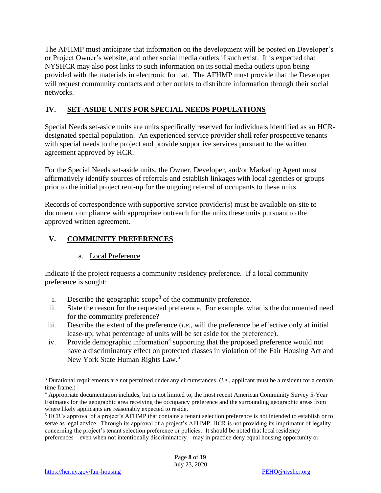The AFHMP must anticipate that information on the development will be posted on Developer's or Project Owner's website, and other social media outlets if such exist. It is expected that NYSHCR may also post links to such information on its social media outlets upon being provided with the materials in electronic format. The AFHMP must provide that the Developer will request community contacts and other outlets to distribute information through their social networks.

#### **IV. SET-ASIDE UNITS FOR SPECIAL NEEDS POPULATIONS**

Special Needs set-aside units are units specifically reserved for individuals identified as an HCRdesignated special population. An experienced service provider shall refer prospective tenants with special needs to the project and provide supportive services pursuant to the written agreement approved by HCR.

For the Special Needs set-aside units, the Owner, Developer, and/or Marketing Agent must affirmatively identify sources of referrals and establish linkages with local agencies or groups prior to the initial project rent-up for the ongoing referral of occupants to these units.

Records of correspondence with supportive service provider(s) must be available on-site to document compliance with appropriate outreach for the units these units pursuant to the approved written agreement.

#### **V. COMMUNITY PREFERENCES**

a. Local Preference

Indicate if the project requests a community residency preference. If a local community preference is sought:

- i. Describe the geographic scope<sup>3</sup> of the community preference.
- ii. State the reason for the requested preference. For example, what is the documented need for the community preference?
- iii. Describe the extent of the preference (*i.e.*, will the preference be effective only at initial lease-up; what percentage of units will be set aside for the preference).
- iv. Provide demographic information<sup>4</sup> supporting that the proposed preference would not have a discriminatory effect on protected classes in violation of the Fair Housing Act and New York State Human Rights Law.<sup>5</sup>

<sup>3</sup> Durational requirements are not permitted under any circumstances. (*i.e.*, applicant must be a resident for a certain time frame.)

<sup>4</sup> Appropriate documentation includes, but is not limited to, the most recent American Community Survey 5-Year Estimates for the geographic area receiving the occupancy preference and the surrounding geographic areas from where likely applicants are reasonably expected to reside.

<sup>5</sup> HCR's approval of a project's AFHMP that contains a tenant selection preference is not intended to establish or to serve as legal advice. Through its approval of a project's AFHMP, HCR is not providing its imprimatur of legality concerning the project's tenant selection preference or policies. It should be noted that local residency preferences—even when not intentionally discriminatory—may in practice deny equal housing opportunity or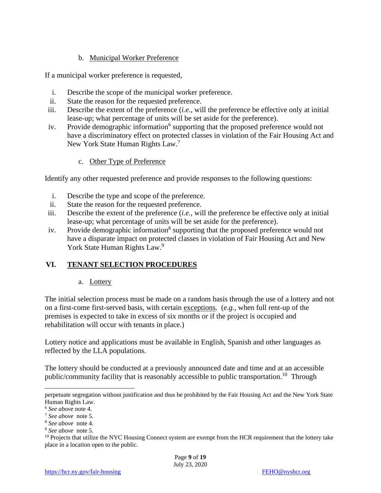#### b. Municipal Worker Preference

If a municipal worker preference is requested,

- i. Describe the scope of the municipal worker preference.
- ii. State the reason for the requested preference.
- iii. Describe the extent of the preference (*i.e.*, will the preference be effective only at initial lease-up; what percentage of units will be set aside for the preference).
- iv. Provide demographic information<sup>6</sup> supporting that the proposed preference would not have a discriminatory effect on protected classes in violation of the Fair Housing Act and New York State Human Rights Law.<sup>7</sup>
	- c. Other Type of Preference

Identify any other requested preference and provide responses to the following questions:

- i. Describe the type and scope of the preference.
- ii. State the reason for the requested preference.
- iii. Describe the extent of the preference (*i.e.*, will the preference be effective only at initial lease-up; what percentage of units will be set aside for the preference).
- iv. Provide demographic information<sup>8</sup> supporting that the proposed preference would not have a disparate impact on protected classes in violation of Fair Housing Act and New York State Human Rights Law.<sup>9</sup>

#### **VI. TENANT SELECTION PROCEDURES**

a. Lottery

The initial selection process must be made on a random basis through the use of a lottery and not on a first-come first-served basis, with certain exceptions. (*e.g.*, when full rent-up of the premises is expected to take in excess of six months or if the project is occupied and rehabilitation will occur with tenants in place.)

Lottery notice and applications must be available in English, Spanish and other languages as reflected by the LLA populations.

The lottery should be conducted at a previously announced date and time and at an accessible public/community facility that is reasonably accessible to public transportation.<sup>10</sup> Through

perpetuate segregation without justification and thus be prohibited by the Fair Housing Act and the New York State Human Rights Law.

<sup>6</sup> *See above* note 4.

<sup>7</sup> *See above* note 5.

<sup>8</sup> *See above* note 4.

<sup>9</sup> *See above* note 5.

<sup>&</sup>lt;sup>10</sup> Projects that utilize the NYC Housing Connect system are exempt from the HCR requirement that the lottery take place in a location open to the public.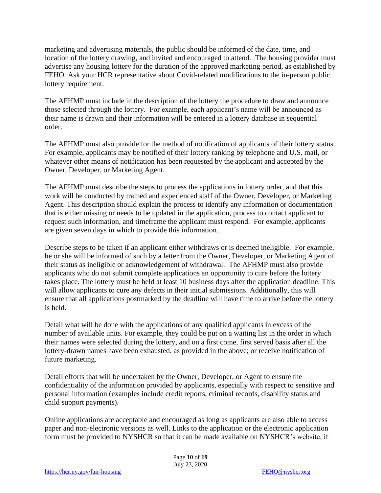marketing and advertising materials, the public should be informed of the date, time, and location of the lottery drawing, and invited and encouraged to attend. The housing provider must advertise any housing lottery for the duration of the approved marketing period, as established by FEHO. Ask your HCR representative about Covid-related modifications to the in-person public lottery requirement.

The AFHMP must include in the description of the lottery the procedure to draw and announce those selected through the lottery. For example, each applicant's name will be announced as their name is drawn and their information will be entered in a lottery database in sequential order.

The AFHMP must also provide for the method of notification of applicants of their lottery status. For example, applicants may be notified of their lottery ranking by telephone and U.S. mail, or whatever other means of notification has been requested by the applicant and accepted by the Owner, Developer, or Marketing Agent.

The AFHMP must describe the steps to process the applications in lottery order, and that this work will be conducted by trained and experienced staff of the Owner, Developer, or Marketing Agent. This description should explain the process to identify any information or documentation that is either missing or needs to be updated in the application, process to contact applicant to request such information, and timeframe the applicant must respond. For example, applicants are given seven days in which to provide this information.

Describe steps to be taken if an applicant either withdraws or is deemed ineligible. For example, he or she will be informed of such by a letter from the Owner, Developer, or Marketing Agent of their status as ineligible or acknowledgement of withdrawal. The AFHMP must also provide applicants who do not submit complete applications an opportunity to cure before the lottery takes place. The lottery must be held at least 10 business days after the application deadline. This will allow applicants to cure any defects in their initial submissions. Additionally, this will ensure that all applications postmarked by the deadline will have time to arrive before the lottery is held.

Detail what will be done with the applications of any qualified applicants in excess of the number of available units. For example, they could be put on a waiting list in the order in which their names were selected during the lottery, and on a first come, first served basis after all the lottery-drawn names have been exhausted, as provided in the above; or receive notification of future marketing.

Detail efforts that will be undertaken by the Owner, Developer, or Agent to ensure the confidentiality of the information provided by applicants, especially with respect to sensitive and personal information (examples include credit reports, criminal records, disability status and child support payments).

Online applications are acceptable and encouraged as long as applicants are also able to access paper and non-electronic versions as well. Links to the application or the electronic application form must be provided to NYSHCR so that it can be made available on NYSHCR's website, if

> Page **10** of **19** July 23, 2020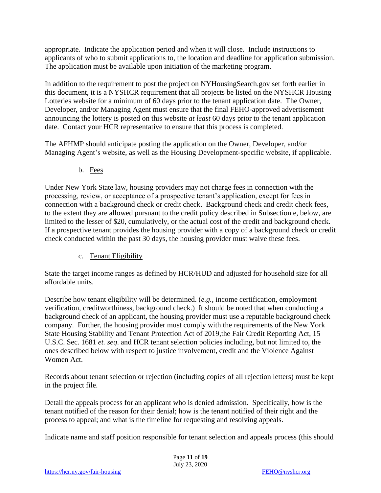appropriate. Indicate the application period and when it will close. Include instructions to applicants of who to submit applications to, the location and deadline for application submission. The application must be available upon initiation of the marketing program.

In addition to the requirement to post the project on NYHousingSearch.gov set forth earlier in this document, it is a NYSHCR requirement that all projects be listed on the NYSHCR Housing Lotteries website for a minimum of 60 days prior to the tenant application date. The Owner, Developer, and/or Managing Agent must ensure that the final FEHO-approved advertisement announcing the lottery is posted on this website *at least* 60 days prior to the tenant application date. Contact your HCR representative to ensure that this process is completed.

The AFHMP should anticipate posting the application on the Owner, Developer, and/or Managing Agent's website, as well as the Housing Development-specific website, if applicable.

b. Fees

Under New York State law, housing providers may not charge fees in connection with the processing, review, or acceptance of a prospective tenant's application, except for fees in connection with a background check or credit check. Background check and credit check fees, to the extent they are allowed pursuant to the credit policy described in Subsection e, below, are limited to the lesser of \$20, cumulatively, or the actual cost of the credit and background check. If a prospective tenant provides the housing provider with a copy of a background check or credit check conducted within the past 30 days, the housing provider must waive these fees.

#### c. Tenant Eligibility

State the target income ranges as defined by HCR/HUD and adjusted for household size for all affordable units.

Describe how tenant eligibility will be determined. (*e.g.*, income certification, employment verification, creditworthiness, background check.) It should be noted that when conducting a background check of an applicant, the housing provider must use a reputable background check company. Further, the housing provider must comply with the requirements of the New York State Housing Stability and Tenant Protection Act of 2019,the Fair Credit Reporting Act, 15 U.S.C. Sec. 1681 *et. seq*. and HCR tenant selection policies including, but not limited to, the ones described below with respect to justice involvement, credit and the Violence Against Women Act.

Records about tenant selection or rejection (including copies of all rejection letters) must be kept in the project file.

Detail the appeals process for an applicant who is denied admission. Specifically, how is the tenant notified of the reason for their denial; how is the tenant notified of their right and the process to appeal; and what is the timeline for requesting and resolving appeals.

Indicate name and staff position responsible for tenant selection and appeals process (this should

Page **11** of **19** July 23, 2020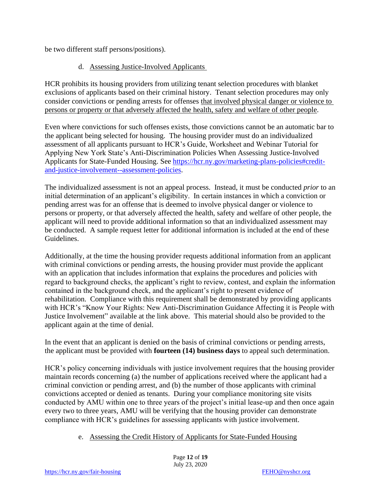be two different staff persons/positions).

#### d. Assessing Justice-Involved Applicants

HCR prohibits its housing providers from utilizing tenant selection procedures with blanket exclusions of applicants based on their criminal history. Tenant selection procedures may only consider convictions or pending arrests for offenses that involved physical danger or violence to persons or property or that adversely affected the health, safety and welfare of other people.

Even where convictions for such offenses exists, those convictions cannot be an automatic bar to the applicant being selected for housing. The housing provider must do an individualized assessment of all applicants pursuant to HCR's Guide, Worksheet and Webinar Tutorial for Applying New York State's Anti-Discrimination Policies When Assessing Justice-Involved Applicants for State-Funded Housing. See [https://hcr.ny.gov/marketing-plans-policies#credit](https://hcr.ny.gov/marketing-plans-policies#credit-and-justice-involvement--assessment-policies)[and-justice-involvement--assessment-policies.](https://hcr.ny.gov/marketing-plans-policies#credit-and-justice-involvement--assessment-policies)

The individualized assessment is not an appeal process. Instead, it must be conducted *prior* to an initial determination of an applicant's eligibility. In certain instances in which a conviction or pending arrest was for an offense that is deemed to involve physical danger or violence to persons or property, or that adversely affected the health, safety and welfare of other people, the applicant will need to provide additional information so that an individualized assessment may be conducted. A sample request letter for additional information is included at the end of these Guidelines.

Additionally, at the time the housing provider requests additional information from an applicant with criminal convictions or pending arrests, the housing provider must provide the applicant with an application that includes information that explains the procedures and policies with regard to background checks, the applicant's right to review, contest, and explain the information contained in the background check, and the applicant's right to present evidence of rehabilitation. Compliance with this requirement shall be demonstrated by providing applicants with HCR's "Know Your Rights: New Anti-Discrimination Guidance Affecting it is People with Justice Involvement" available at the link above. This material should also be provided to the applicant again at the time of denial.

In the event that an applicant is denied on the basis of criminal convictions or pending arrests, the applicant must be provided with **fourteen (14) business days** to appeal such determination.

HCR's policy concerning individuals with justice involvement requires that the housing provider maintain records concerning (a) the number of applications received where the applicant had a criminal conviction or pending arrest, and (b) the number of those applicants with criminal convictions accepted or denied as tenants. During your compliance monitoring site visits conducted by AMU within one to three years of the project's initial lease-up and then once again every two to three years, AMU will be verifying that the housing provider can demonstrate compliance with HCR's guidelines for assessing applicants with justice involvement.

e. Assessing the Credit History of Applicants for State-Funded Housing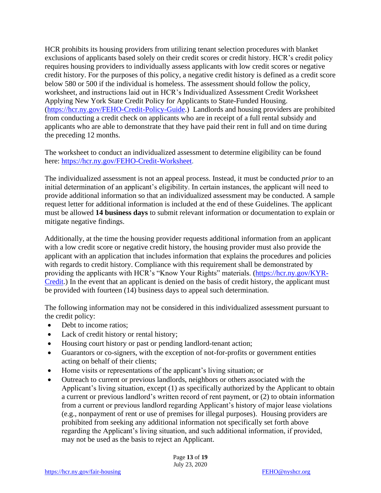HCR prohibits its housing providers from utilizing tenant selection procedures with blanket exclusions of applicants based solely on their credit scores or credit history. HCR's credit policy requires housing providers to individually assess applicants with low credit scores or negative credit history. For the purposes of this policy, a negative credit history is defined as a credit score below 580 or 500 if the individual is homeless. The assessment should follow the policy, worksheet, and instructions laid out in HCR's Individualized Assessment Credit Worksheet Applying New York State Credit Policy for Applicants to State-Funded Housing. [\(https://hcr.ny.gov/FEHO-Credit-Policy-Guide.](https://hcr.ny.gov/FEHO-Credit-Policy-Guide)) Landlords and housing providers are prohibited from conducting a credit check on applicants who are in receipt of a full rental subsidy and applicants who are able to demonstrate that they have paid their rent in full and on time during the preceding 12 months.

The worksheet to conduct an individualized assessment to determine eligibility can be found here: [https://hcr.ny.gov/FEHO-Credit-Worksheet.](https://hcr.ny.gov/FEHO-Credit-Worksheet)

The individualized assessment is not an appeal process. Instead, it must be conducted *prior* to an initial determination of an applicant's eligibility. In certain instances, the applicant will need to provide additional information so that an individualized assessment may be conducted. A sample request letter for additional information is included at the end of these Guidelines. The applicant must be allowed **14 business days** to submit relevant information or documentation to explain or mitigate negative findings.

Additionally, at the time the housing provider requests additional information from an applicant with a low credit score or negative credit history, the housing provider must also provide the applicant with an application that includes information that explains the procedures and policies with regards to credit history. Compliance with this requirement shall be demonstrated by providing the applicants with HCR's "Know Your Rights" materials. [\(https://hcr.ny.gov/KYR-](https://hcr.ny.gov/KYR-Credit)[Credit.](https://hcr.ny.gov/KYR-Credit)) In the event that an applicant is denied on the basis of credit history, the applicant must be provided with fourteen (14) business days to appeal such determination.

The following information may not be considered in this individualized assessment pursuant to the credit policy:

- Debt to income ratios;
- Lack of credit history or rental history;
- Housing court history or past or pending landlord-tenant action;
- Guarantors or co-signers, with the exception of not-for-profits or government entities acting on behalf of their clients;
- Home visits or representations of the applicant's living situation; or
- Outreach to current or previous landlords, neighbors or others associated with the Applicant's living situation, except (1) as specifically authorized by the Applicant to obtain a current or previous landlord's written record of rent payment, or (2) to obtain information from a current or previous landlord regarding Applicant's history of major lease violations (e.g., nonpayment of rent or use of premises for illegal purposes). Housing providers are prohibited from seeking any additional information not specifically set forth above regarding the Applicant's living situation, and such additional information, if provided, may not be used as the basis to reject an Applicant.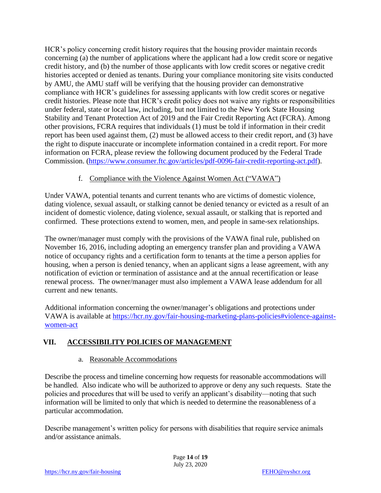HCR's policy concerning credit history requires that the housing provider maintain records concerning (a) the number of applications where the applicant had a low credit score or negative credit history, and (b) the number of those applicants with low credit scores or negative credit histories accepted or denied as tenants. During your compliance monitoring site visits conducted by AMU, the AMU staff will be verifying that the housing provider can demonstrative compliance with HCR's guidelines for assessing applicants with low credit scores or negative credit histories. Please note that HCR's credit policy does not waive any rights or responsibilities under federal, state or local law, including, but not limited to the New York State Housing Stability and Tenant Protection Act of 2019 and the Fair Credit Reporting Act (FCRA). Among other provisions, FCRA requires that individuals (1) must be told if information in their credit report has been used against them, (2) must be allowed access to their credit report, and (3) have the right to dispute inaccurate or incomplete information contained in a credit report. For more information on FCRA, please review the following document produced by the Federal Trade Commission. [\(https://www.consumer.ftc.gov/articles/pdf-0096-fair-credit-reporting-act.pdf\)](https://www.consumer.ftc.gov/articles/pdf-0096-fair-credit-reporting-act.pdf).

#### f. Compliance with the Violence Against Women Act ("VAWA")

Under VAWA, potential tenants and current tenants who are victims of domestic violence, dating violence, sexual assault, or stalking cannot be denied tenancy or evicted as a result of an incident of domestic violence, dating violence, sexual assault, or stalking that is reported and confirmed. These protections extend to women, men, and people in same-sex relationships.

The owner/manager must comply with the provisions of the VAWA final rule, published on November 16, 2016, including adopting an emergency transfer plan and providing a VAWA notice of occupancy rights and a certification form to tenants at the time a person applies for housing, when a person is denied tenancy, when an applicant signs a lease agreement, with any notification of eviction or termination of assistance and at the annual recertification or lease renewal process. The owner/manager must also implement a VAWA lease addendum for all current and new tenants.

Additional information concerning the owner/manager's obligations and protections under VAWA is available at [https://hcr.ny.gov/fair-housing-marketing-plans-policies#violence-against](https://hcr.ny.gov/fair-housing-marketing-plans-policies#violence-against-women-act)[women-act](https://hcr.ny.gov/fair-housing-marketing-plans-policies#violence-against-women-act)

#### **VII. ACCESSIBILITY POLICIES OF MANAGEMENT**

#### a. Reasonable Accommodations

Describe the process and timeline concerning how requests for reasonable accommodations will be handled. Also indicate who will be authorized to approve or deny any such requests. State the policies and procedures that will be used to verify an applicant's disability—noting that such information will be limited to only that which is needed to determine the reasonableness of a particular accommodation.

Describe management's written policy for persons with disabilities that require service animals and/or assistance animals.

> Page **14** of **19** July 23, 2020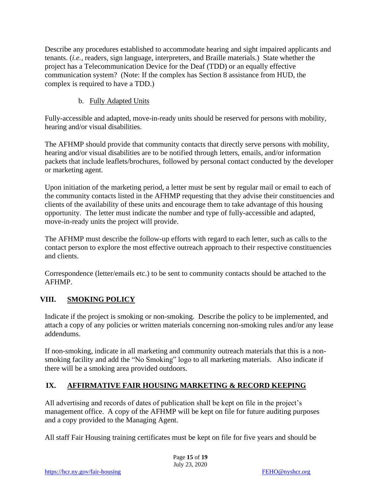Describe any procedures established to accommodate hearing and sight impaired applicants and tenants. (*i.e.*, readers, sign language, interpreters, and Braille materials.) State whether the project has a Telecommunication Device for the Deaf (TDD) or an equally effective communication system? (Note: If the complex has Section 8 assistance from HUD, the complex is required to have a TDD.)

#### b. Fully Adapted Units

Fully-accessible and adapted, move-in-ready units should be reserved for persons with mobility, hearing and/or visual disabilities.

The AFHMP should provide that community contacts that directly serve persons with mobility, hearing and/or visual disabilities are to be notified through letters, emails, and/or information packets that include leaflets/brochures, followed by personal contact conducted by the developer or marketing agent.

Upon initiation of the marketing period, a letter must be sent by regular mail or email to each of the community contacts listed in the AFHMP requesting that they advise their constituencies and clients of the availability of these units and encourage them to take advantage of this housing opportunity. The letter must indicate the number and type of fully-accessible and adapted, move-in-ready units the project will provide.

The AFHMP must describe the follow-up efforts with regard to each letter, such as calls to the contact person to explore the most effective outreach approach to their respective constituencies and clients.

Correspondence (letter/emails etc.) to be sent to community contacts should be attached to the AFHMP.

#### **VIII. SMOKING POLICY**

Indicate if the project is smoking or non-smoking. Describe the policy to be implemented, and attach a copy of any policies or written materials concerning non-smoking rules and/or any lease addendums.

If non-smoking, indicate in all marketing and community outreach materials that this is a nonsmoking facility and add the "No Smoking" logo to all marketing materials. Also indicate if there will be a smoking area provided outdoors.

#### **IX. AFFIRMATIVE FAIR HOUSING MARKETING & RECORD KEEPING**

All advertising and records of dates of publication shall be kept on file in the project's management office. A copy of the AFHMP will be kept on file for future auditing purposes and a copy provided to the Managing Agent.

All staff Fair Housing training certificates must be kept on file for five years and should be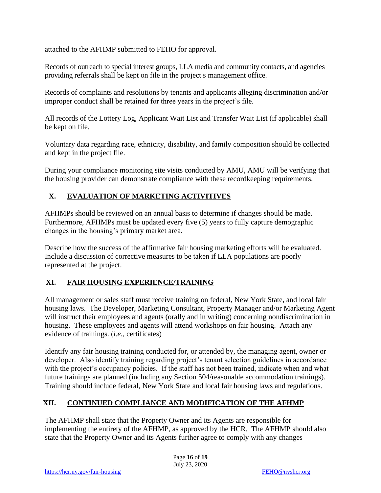attached to the AFHMP submitted to FEHO for approval.

Records of outreach to special interest groups, LLA media and community contacts, and agencies providing referrals shall be kept on file in the project s management office.

Records of complaints and resolutions by tenants and applicants alleging discrimination and/or improper conduct shall be retained for three years in the project's file.

All records of the Lottery Log, Applicant Wait List and Transfer Wait List (if applicable) shall be kept on file.

Voluntary data regarding race, ethnicity, disability, and family composition should be collected and kept in the project file.

During your compliance monitoring site visits conducted by AMU, AMU will be verifying that the housing provider can demonstrate compliance with these recordkeeping requirements.

#### **X. EVALUATION OF MARKETING ACTIVITIVES**

AFHMPs should be reviewed on an annual basis to determine if changes should be made. Furthermore, AFHMPs must be updated every five (5) years to fully capture demographic changes in the housing's primary market area.

Describe how the success of the affirmative fair housing marketing efforts will be evaluated. Include a discussion of corrective measures to be taken if LLA populations are poorly represented at the project.

#### **XI. FAIR HOUSING EXPERIENCE/TRAINING**

All management or sales staff must receive training on federal, New York State, and local fair housing laws. The Developer, Marketing Consultant, Property Manager and/or Marketing Agent will instruct their employees and agents (orally and in writing) concerning nondiscrimination in housing. These employees and agents will attend workshops on fair housing. Attach any evidence of trainings. (*i.e.*, certificates)

Identify any fair housing training conducted for, or attended by, the managing agent, owner or developer. Also identify training regarding project's tenant selection guidelines in accordance with the project's occupancy policies. If the staff has not been trained, indicate when and what future trainings are planned (including any Section 504/reasonable accommodation trainings). Training should include federal, New York State and local fair housing laws and regulations.

#### **XII. CONTINUED COMPLIANCE AND MODIFICATION OF THE AFHMP**

The AFHMP shall state that the Property Owner and its Agents are responsible for implementing the entirety of the AFHMP, as approved by the HCR. The AFHMP should also state that the Property Owner and its Agents further agree to comply with any changes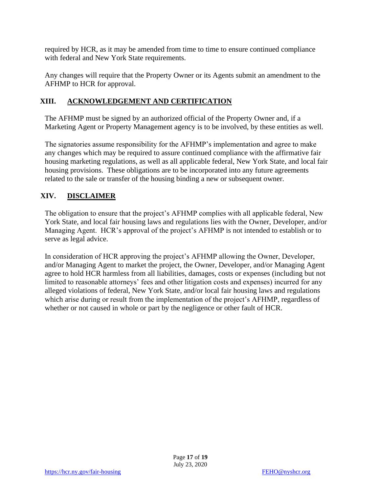required by HCR, as it may be amended from time to time to ensure continued compliance with federal and New York State requirements.

Any changes will require that the Property Owner or its Agents submit an amendment to the AFHMP to HCR for approval.

#### **XIII. ACKNOWLEDGEMENT AND CERTIFICATION**

The AFHMP must be signed by an authorized official of the Property Owner and, if a Marketing Agent or Property Management agency is to be involved, by these entities as well.

The signatories assume responsibility for the AFHMP's implementation and agree to make any changes which may be required to assure continued compliance with the affirmative fair housing marketing regulations, as well as all applicable federal, New York State, and local fair housing provisions. These obligations are to be incorporated into any future agreements related to the sale or transfer of the housing binding a new or subsequent owner.

#### **XIV. DISCLAIMER**

The obligation to ensure that the project's AFHMP complies with all applicable federal, New York State, and local fair housing laws and regulations lies with the Owner, Developer, and/or Managing Agent. HCR's approval of the project's AFHMP is not intended to establish or to serve as legal advice.

In consideration of HCR approving the project's AFHMP allowing the Owner, Developer, and/or Managing Agent to market the project, the Owner, Developer, and/or Managing Agent agree to hold HCR harmless from all liabilities, damages, costs or expenses (including but not limited to reasonable attorneys' fees and other litigation costs and expenses) incurred for any alleged violations of federal, New York State, and/or local fair housing laws and regulations which arise during or result from the implementation of the project's AFHMP, regardless of whether or not caused in whole or part by the negligence or other fault of HCR.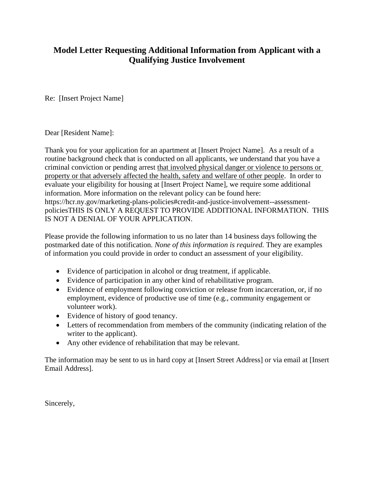#### **Model Letter Requesting Additional Information from Applicant with a Qualifying Justice Involvement**

Re: [Insert Project Name]

Dear [Resident Name]:

Thank you for your application for an apartment at [Insert Project Name]. As a result of a routine background check that is conducted on all applicants, we understand that you have a criminal conviction or pending arrest that involved physical danger or violence to persons or property or that adversely affected the health, safety and welfare of other people. In order to evaluate your eligibility for housing at [Insert Project Name], we require some additional information. More information on the relevant policy can be found here: https://hcr.ny.gov/marketing-plans-policies#credit-and-justice-involvement--assessmentpoliciesTHIS IS ONLY A REQUEST TO PROVIDE ADDITIONAL INFORMATION. THIS IS NOT A DENIAL OF YOUR APPLICATION.

Please provide the following information to us no later than 14 business days following the postmarked date of this notification. *None of this information is required.* They are examples of information you could provide in order to conduct an assessment of your eligibility*.*

- Evidence of participation in alcohol or drug treatment, if applicable.
- Evidence of participation in any other kind of rehabilitative program.
- Evidence of employment following conviction or release from incarceration, or, if no employment, evidence of productive use of time (e.g., community engagement or volunteer work).
- Evidence of history of good tenancy.
- Letters of recommendation from members of the community (indicating relation of the writer to the applicant).
- Any other evidence of rehabilitation that may be relevant.

The information may be sent to us in hard copy at [Insert Street Address] or via email at [Insert Email Address].

Sincerely,